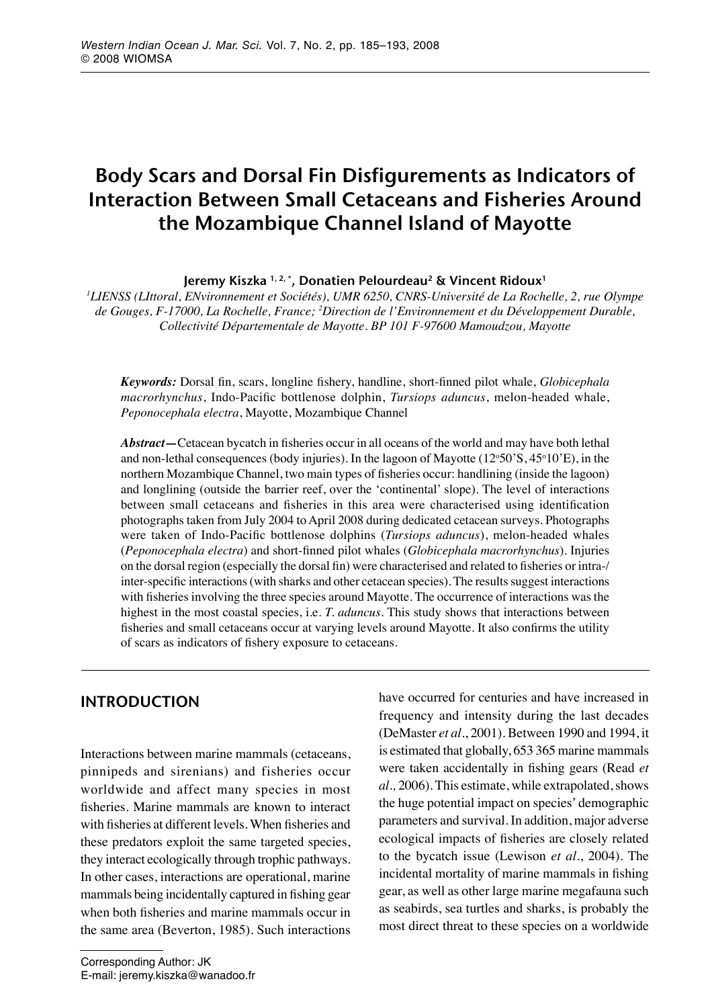# Body Scars and Dorsal Fin Disfigurements as Indicators of Interaction Between Small Cetaceans and Fisheries Around the Mozambique Channel Island of Mayotte

Jeremy Kiszka <sup>1, 2, \*</sup>, Donatien Pelourdeau<sup>2</sup> & Vincent Ridoux<sup>1</sup>

*1 LIENSS (LIttoral, ENvironnement et Sociétés), UMR 6250, CNRS-Université de La Rochelle, 2, rue Olympe de Gouges, F-17000, La Rochelle, France; 2 Direction de l'Environnement et du Développement Durable, Collectivité Départementale de Mayotte. BP 101 F-97600 Mamoudzou, Mayotte*

*Keywords:* Dorsal fin, scars, longline fishery, handline, short-finned pilot whale, *Globicephala macrorhynchus*, Indo-Pacific bottlenose dolphin, *Tursiops aduncus*, melon-headed whale, *Peponocephala electra*, Mayotte, Mozambique Channel

*Abstract—*Cetacean bycatch in fisheries occur in all oceans of the world and may have both lethal and non-lethal consequences (body injuries). In the lagoon of Mayotte (12°50'S, 45°10'E), in the northern Mozambique Channel, two main types of fisheries occur: handlining (inside the lagoon) and longlining (outside the barrier reef, over the 'continental' slope). The level of interactions between small cetaceans and fisheries in this area were characterised using identification photographs taken from July 2004 to April 2008 during dedicated cetacean surveys. Photographs were taken of Indo-Pacific bottlenose dolphins (*Tursiops aduncus*), melon-headed whales (*Peponocephala electra*) and short-finned pilot whales (*Globicephala macrorhynchus*). Injuries on the dorsal region (especially the dorsal fin) were characterised and related to fisheries or intra-/ inter-specific interactions (with sharks and other cetacean species). The results suggest interactions with fisheries involving the three species around Mayotte. The occurrence of interactions was the highest in the most coastal species, i.e. *T. aduncus*. This study shows that interactions between fisheries and small cetaceans occur at varying levels around Mayotte. It also confirms the utility of scars as indicators of fishery exposure to cetaceans.

# **INTRODUCTION**

Interactions between marine mammals (cetaceans, pinnipeds and sirenians) and fisheries occur worldwide and affect many species in most fisheries. Marine mammals are known to interact with fisheries at different levels. When fisheries and these predators exploit the same targeted species, they interact ecologically through trophic pathways. In other cases, interactions are operational, marine mammals being incidentally captured in fishing gear when both fisheries and marine mammals occur in the same area (Beverton, 1985). Such interactions

Corresponding Author: JK E-mail: jeremy.kiszka@wanadoo.fr have occurred for centuries and have increased in frequency and intensity during the last decades (DeMaster *et al.*, 2001). Between 1990 and 1994, it is estimated that globally, 653 365 marine mammals were taken accidentally in fishing gears (Read *et al.,* 2006). This estimate, while extrapolated, shows the huge potential impact on species' demographic parameters and survival. In addition, major adverse ecological impacts of fisheries are closely related to the bycatch issue (Lewison *et al.*, 2004). The incidental mortality of marine mammals in fishing gear, as well as other large marine megafauna such as seabirds, sea turtles and sharks, is probably the most direct threat to these species on a worldwide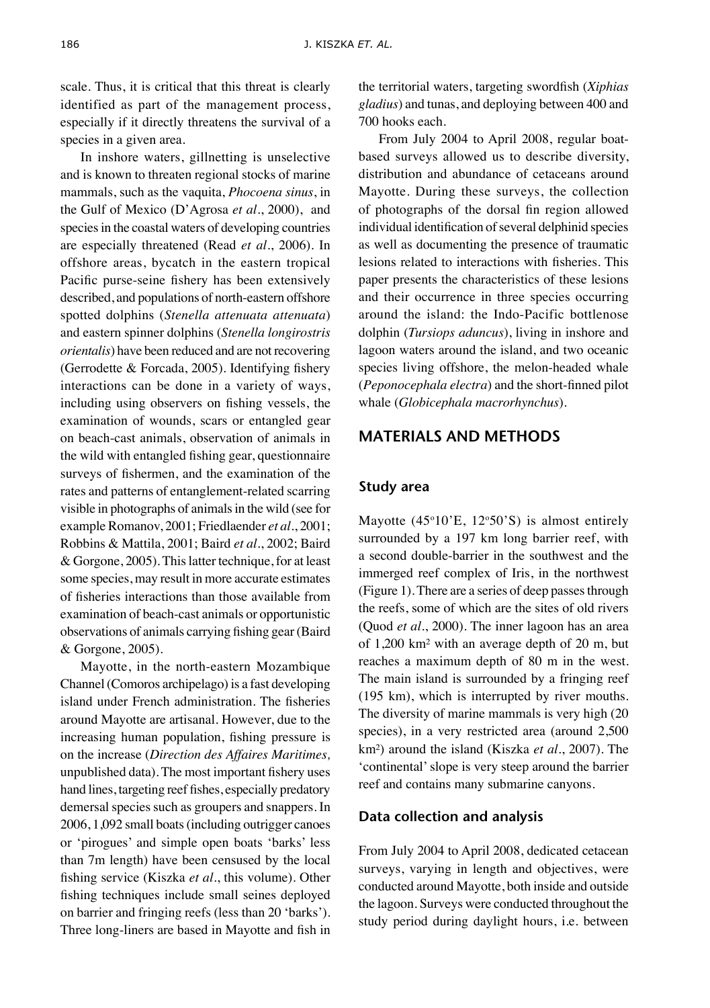scale. Thus, it is critical that this threat is clearly identified as part of the management process, especially if it directly threatens the survival of a species in a given area.

In inshore waters, gillnetting is unselective and is known to threaten regional stocks of marine mammals, such as the vaquita, *Phocoena sinus*, in the Gulf of Mexico (D'Agrosa *et al.*, 2000), and species in the coastal waters of developing countries are especially threatened (Read *et al.*, 2006). In offshore areas, bycatch in the eastern tropical Pacific purse-seine fishery has been extensively described, and populations of north-eastern offshore spotted dolphins (*Stenella attenuata attenuata*) and eastern spinner dolphins (*Stenella longirostris orientalis*) have been reduced and are not recovering (Gerrodette & Forcada, 2005). Identifying fishery interactions can be done in a variety of ways, including using observers on fishing vessels, the examination of wounds, scars or entangled gear on beach-cast animals, observation of animals in the wild with entangled fishing gear, questionnaire surveys of fishermen, and the examination of the rates and patterns of entanglement-related scarring visible in photographs of animals in the wild (see for example Romanov, 2001; Friedlaender *et al.*, 2001; Robbins & Mattila, 2001; Baird *et al.*, 2002; Baird & Gorgone, 2005). This latter technique, for at least some species, may result in more accurate estimates of fisheries interactions than those available from examination of beach-cast animals or opportunistic observations of animals carrying fishing gear (Baird & Gorgone, 2005).

Mayotte, in the north-eastern Mozambique Channel (Comoros archipelago) is a fast developing island under French administration. The fisheries around Mayotte are artisanal. However, due to the increasing human population, fishing pressure is on the increase (*Direction des Affaires Maritimes,*  unpublished data). The most important fishery uses hand lines, targeting reef fishes, especially predatory demersal species such as groupers and snappers. In 2006, 1,092 small boats (including outrigger canoes or 'pirogues' and simple open boats 'barks' less than 7m length) have been censused by the local fishing service (Kiszka *et al.*, this volume). Other fishing techniques include small seines deployed on barrier and fringing reefs (less than 20 'barks'). Three long-liners are based in Mayotte and fish in the territorial waters, targeting swordfish (*Xiphias gladius*) and tunas, and deploying between 400 and 700 hooks each.

From July 2004 to April 2008, regular boatbased surveys allowed us to describe diversity, distribution and abundance of cetaceans around Mayotte. During these surveys, the collection of photographs of the dorsal fin region allowed individual identification of several delphinid species as well as documenting the presence of traumatic lesions related to interactions with fisheries. This paper presents the characteristics of these lesions and their occurrence in three species occurring around the island: the Indo-Pacific bottlenose dolphin (*Tursiops aduncus*), living in inshore and lagoon waters around the island, and two oceanic species living offshore, the melon-headed whale (*Peponocephala electra*) and the short-finned pilot whale (*Globicephala macrorhynchus*).

# Materials and methods

#### **Study area**

Mayotte  $(45°10'E, 12°50'S)$  is almost entirely surrounded by a 197 km long barrier reef, with a second double-barrier in the southwest and the immerged reef complex of Iris, in the northwest (Figure 1). There are a series of deep passes through the reefs, some of which are the sites of old rivers (Quod *et al.*, 2000). The inner lagoon has an area of 1,200 km² with an average depth of 20 m, but reaches a maximum depth of 80 m in the west. The main island is surrounded by a fringing reef (195 km), which is interrupted by river mouths. The diversity of marine mammals is very high (20 species), in a very restricted area (around 2,500 km²) around the island (Kiszka *et al.*, 2007). The 'continental' slope is very steep around the barrier reef and contains many submarine canyons.

#### **Data collection and analysis**

From July 2004 to April 2008, dedicated cetacean surveys, varying in length and objectives, were conducted around Mayotte, both inside and outside the lagoon. Surveys were conducted throughout the study period during daylight hours, i.e. between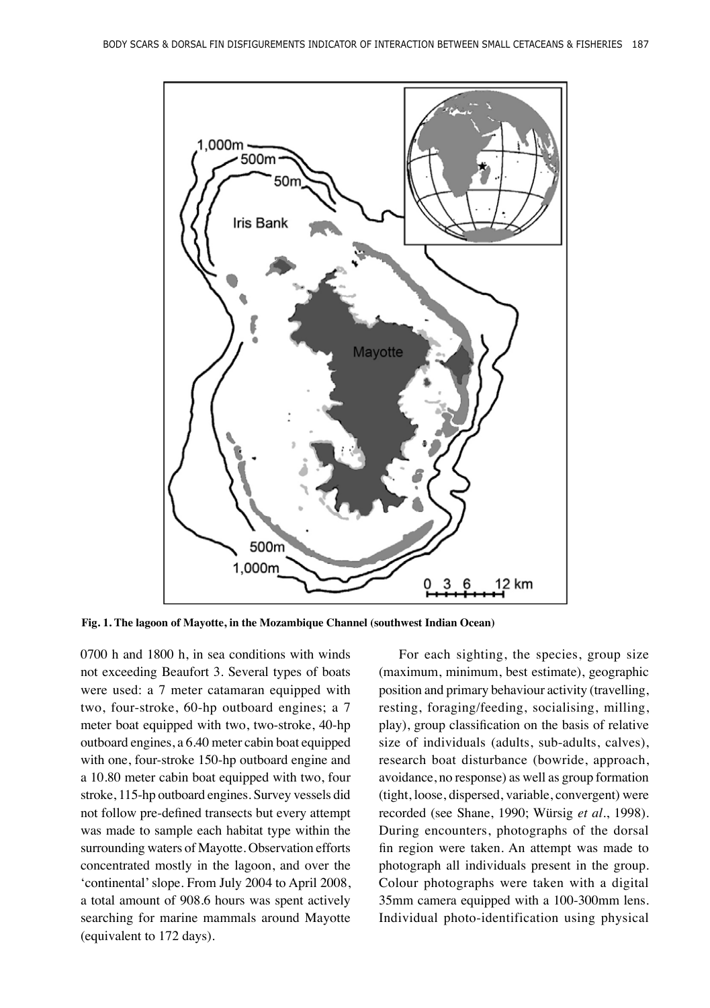

**Fig. 1. The lagoon of Mayotte, in the Mozambique Channel (southwest Indian Ocean)**

0700 h and 1800 h, in sea conditions with winds not exceeding Beaufort 3. Several types of boats were used: a 7 meter catamaran equipped with two, four-stroke, 60-hp outboard engines; a 7 meter boat equipped with two, two-stroke, 40-hp outboard engines, a 6.40 meter cabin boat equipped with one, four-stroke 150-hp outboard engine and a 10.80 meter cabin boat equipped with two, four stroke, 115-hp outboard engines. Survey vessels did not follow pre-defined transects but every attempt was made to sample each habitat type within the surrounding waters of Mayotte. Observation efforts concentrated mostly in the lagoon, and over the 'continental' slope. From July 2004 to April 2008, a total amount of 908.6 hours was spent actively searching for marine mammals around Mayotte (equivalent to 172 days).

For each sighting, the species, group size (maximum, minimum, best estimate), geographic position and primary behaviour activity (travelling, resting, foraging/feeding, socialising, milling, play), group classification on the basis of relative size of individuals (adults, sub-adults, calves), research boat disturbance (bowride, approach, avoidance, no response) as well as group formation (tight, loose, dispersed, variable, convergent) were recorded (see Shane, 1990; Würsig *et al*., 1998). During encounters, photographs of the dorsal fin region were taken. An attempt was made to photograph all individuals present in the group. Colour photographs were taken with a digital 35mm camera equipped with a 100-300mm lens. Individual photo-identification using physical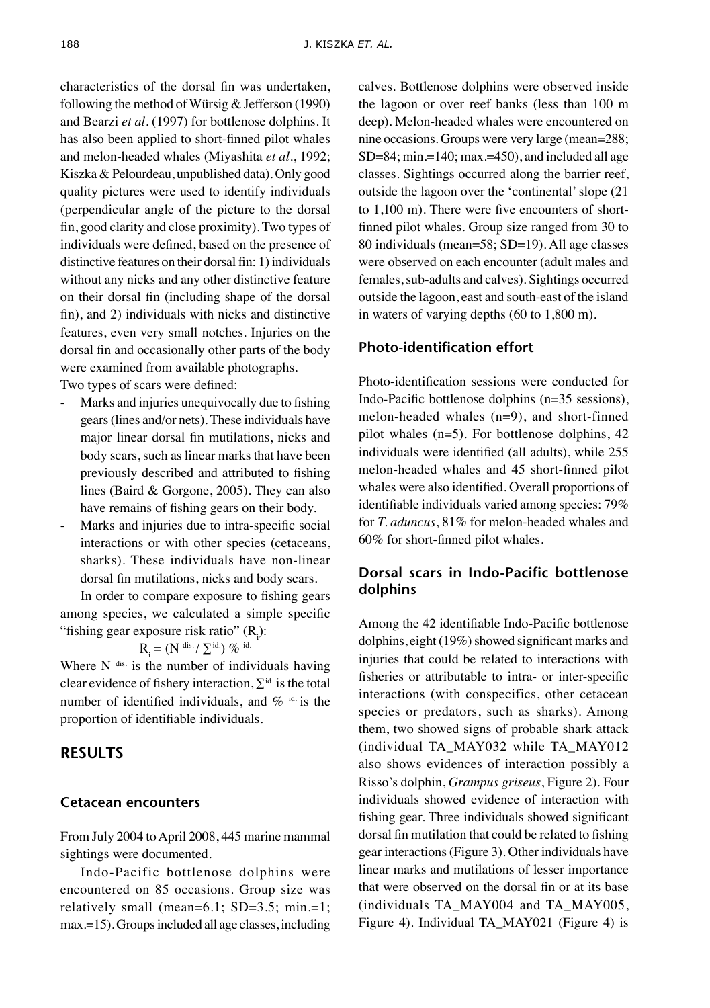characteristics of the dorsal fin was undertaken, following the method of Würsig & Jefferson (1990) and Bearzi *et al*. (1997) for bottlenose dolphins. It has also been applied to short-finned pilot whales and melon-headed whales (Miyashita *et al.*, 1992; Kiszka & Pelourdeau, unpublished data). Only good quality pictures were used to identify individuals (perpendicular angle of the picture to the dorsal fin, good clarity and close proximity). Two types of individuals were defined, based on the presence of distinctive features on their dorsal fin: 1) individuals without any nicks and any other distinctive feature on their dorsal fin (including shape of the dorsal fin), and 2) individuals with nicks and distinctive features, even very small notches. Injuries on the dorsal fin and occasionally other parts of the body were examined from available photographs.

Two types of scars were defined:

- Marks and injuries unequivocally due to fishing gears (lines and/or nets). These individuals have major linear dorsal fin mutilations, nicks and body scars, such as linear marks that have been previously described and attributed to fishing lines (Baird & Gorgone, 2005). They can also have remains of fishing gears on their body.
- Marks and injuries due to intra-specific social interactions or with other species (cetaceans, sharks). These individuals have non-linear dorsal fin mutilations, nicks and body scars.

In order to compare exposure to fishing gears among species, we calculated a simple specific "fishing gear exposure risk ratio" (R<sub>i</sub>):

$$
R_{_i} = (N^{\text{ dis.}}/\text{ }\Sigma^{\text{id.}})\text{ }\%\text{ id.}
$$

Where  $N$  dis. is the number of individuals having clear evidence of fishery interaction,  $\Sigma$ <sup>id.</sup> is the total number of identified individuals, and  $\%$  id is the proportion of identifiable individuals.

#### **RESULTS**

#### **Cetacean encounters**

From July 2004 to April 2008, 445 marine mammal sightings were documented.

Indo-Pacific bottlenose dolphins were encountered on 85 occasions. Group size was relatively small (mean=6.1; SD=3.5; min.=1; max.=15). Groups included all age classes, including calves. Bottlenose dolphins were observed inside the lagoon or over reef banks (less than 100 m deep). Melon-headed whales were encountered on nine occasions. Groups were very large (mean=288;  $SD=84$ ; min.=140; max.=450), and included all age classes. Sightings occurred along the barrier reef, outside the lagoon over the 'continental' slope (21 to 1,100 m). There were five encounters of shortfinned pilot whales. Group size ranged from 30 to 80 individuals (mean=58; SD=19). All age classes were observed on each encounter (adult males and females, sub-adults and calves). Sightings occurred outside the lagoon, east and south-east of the island in waters of varying depths (60 to 1,800 m).

## **Photo-identification effort**

Photo-identification sessions were conducted for Indo-Pacific bottlenose dolphins (n=35 sessions), melon-headed whales (n=9), and short-finned pilot whales (n=5). For bottlenose dolphins, 42 individuals were identified (all adults), while 255 melon-headed whales and 45 short-finned pilot whales were also identified. Overall proportions of identifiable individuals varied among species: 79% for *T. aduncus*, 81% for melon-headed whales and 60% for short-finned pilot whales.

## **Dorsal scars in Indo-Pacific bottlenose dolphins**

Among the 42 identifiable Indo-Pacific bottlenose dolphins, eight (19%) showed significant marks and injuries that could be related to interactions with fisheries or attributable to intra- or inter-specific interactions (with conspecifics, other cetacean species or predators, such as sharks). Among them, two showed signs of probable shark attack (individual TA\_MAY032 while TA\_MAY012 also shows evidences of interaction possibly a Risso's dolphin, *Grampus griseus*, Figure 2). Four individuals showed evidence of interaction with fishing gear. Three individuals showed significant dorsal fin mutilation that could be related to fishing gear interactions (Figure 3). Other individuals have linear marks and mutilations of lesser importance that were observed on the dorsal fin or at its base (individuals TA\_MAY004 and TA\_MAY005, Figure 4). Individual TA\_MAY021 (Figure 4) is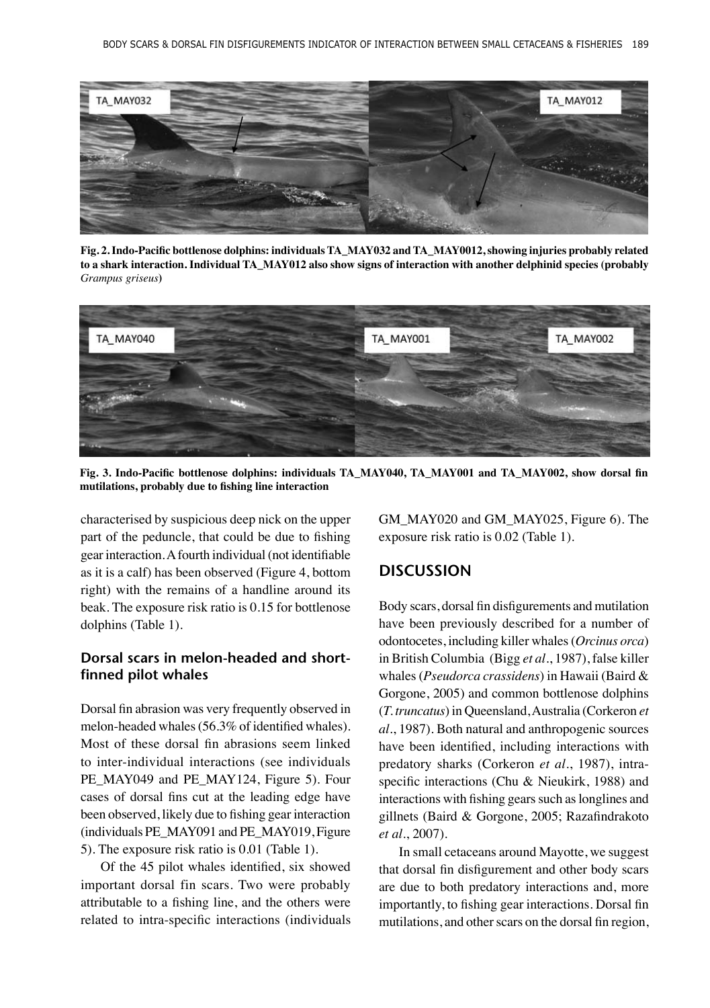

**Fig. 2. Indo-Pacific bottlenose dolphins: individuals TA\_MAY032 and TA\_MAY0012, showing injuries probably related to a shark interaction. Individual TA\_MAY012 also show signs of interaction with another delphinid species (probably**  *Grampus griseus***)**



**Fig. 3. Indo-Pacific bottlenose dolphins: individuals TA\_MAY040, TA\_MAY001 and TA\_MAY002, show dorsal fin mutilations, probably due to fishing line interaction**

characterised by suspicious deep nick on the upper part of the peduncle, that could be due to fishing gear interaction. A fourth individual (not identifiable as it is a calf) has been observed (Figure 4, bottom right) with the remains of a handline around its beak. The exposure risk ratio is 0.15 for bottlenose dolphins (Table 1).

## **Dorsal scars in melon-headed and shortfinned pilot whales**

Dorsal fin abrasion was very frequently observed in melon-headed whales (56.3% of identified whales). Most of these dorsal fin abrasions seem linked to inter-individual interactions (see individuals PE\_MAY049 and PE\_MAY124, Figure 5). Four cases of dorsal fins cut at the leading edge have been observed, likely due to fishing gear interaction (individuals PE\_MAY091 and PE\_MAY019, Figure 5). The exposure risk ratio is 0.01 (Table 1).

Of the 45 pilot whales identified, six showed important dorsal fin scars. Two were probably attributable to a fishing line, and the others were related to intra-specific interactions (individuals GM\_MAY020 and GM\_MAY025, Figure 6). The exposure risk ratio is 0.02 (Table 1).

#### **DISCUSSION**

Body scars, dorsal fin disfigurements and mutilation have been previously described for a number of odontocetes, including killer whales (*Orcinus orca*) in British Columbia (Bigg *et al.*, 1987), false killer whales (*Pseudorca crassidens*) in Hawaii (Baird & Gorgone, 2005) and common bottlenose dolphins (*T. truncatus*) in Queensland, Australia (Corkeron *et al.*, 1987). Both natural and anthropogenic sources have been identified, including interactions with predatory sharks (Corkeron *et al*., 1987), intraspecific interactions (Chu & Nieukirk, 1988) and interactions with fishing gears such as longlines and gillnets (Baird & Gorgone, 2005; Razafindrakoto *et al.*, 2007).

In small cetaceans around Mayotte, we suggest that dorsal fin disfigurement and other body scars are due to both predatory interactions and, more importantly, to fishing gear interactions. Dorsal fin mutilations, and other scars on the dorsal fin region,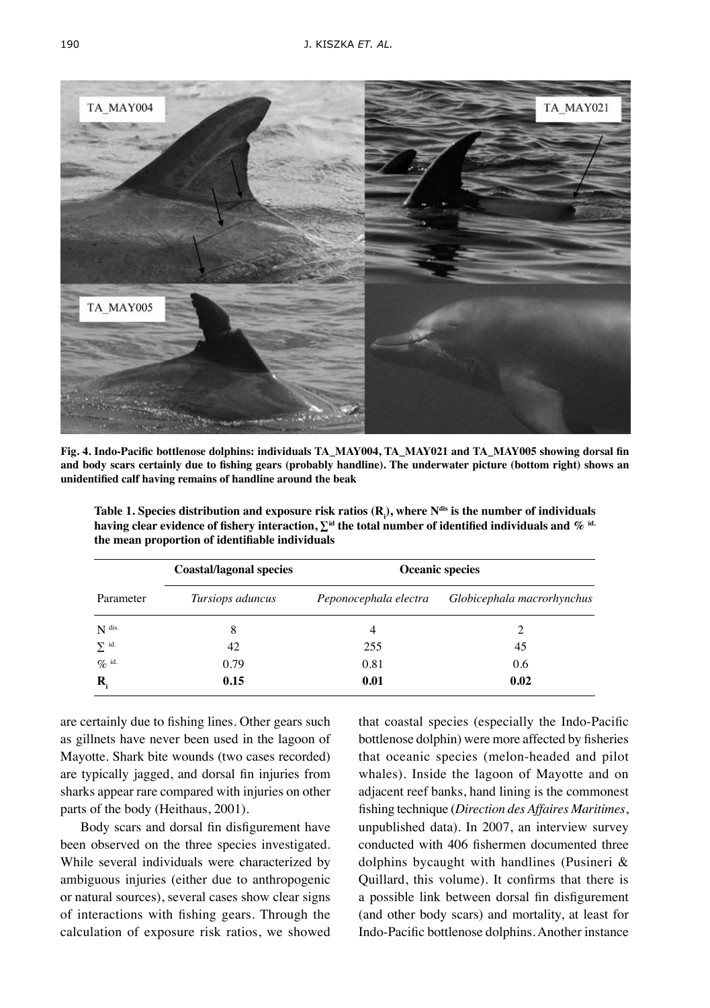

**Fig. 4. Indo-Pacific bottlenose dolphins: individuals TA\_MAY004, TA\_MAY021 and TA\_MAY005 showing dorsal fin and body scars certainly due to fishing gears (probably handline). The underwater picture (bottom right) shows an unidentified calf having remains of handline around the beak**

**Table 1. Species distribution and exposure risk ratios (R<sup>i</sup> ), where Ndis is the number of individuals having clear evidence of fishery interaction,**  $\Sigma^{\text{id}}$  **the total number of identified individuals and**  $\%$  $^{\text{id}}$ **. the mean proportion of identifiable individuals**

| Parameter           | <b>Coastal/lagonal species</b><br>Tursiops aduncus | <b>Oceanic species</b> |                            |
|---------------------|----------------------------------------------------|------------------------|----------------------------|
|                     |                                                    | Peponocephala electra  | Globicephala macrorhynchus |
| $N$ dis.            | 8                                                  | 4                      |                            |
| $\sum$ id.          | 42                                                 | 255                    | 45                         |
| $\mathcal{O}_0$ id. | 0.79                                               | 0.81                   | 0.6                        |
| $\mathbf{R}_{i}$    | 0.15                                               | 0.01                   | 0.02                       |

are certainly due to fishing lines. Other gears such as gillnets have never been used in the lagoon of Mayotte. Shark bite wounds (two cases recorded) are typically jagged, and dorsal fin injuries from sharks appear rare compared with injuries on other parts of the body (Heithaus, 2001).

Body scars and dorsal fin disfigurement have been observed on the three species investigated. While several individuals were characterized by ambiguous injuries (either due to anthropogenic or natural sources), several cases show clear signs of interactions with fishing gears. Through the calculation of exposure risk ratios, we showed that coastal species (especially the Indo-Pacific bottlenose dolphin) were more affected by fisheries that oceanic species (melon-headed and pilot whales). Inside the lagoon of Mayotte and on adjacent reef banks, hand lining is the commonest fishing technique (*Direction des Affaires Maritimes*, unpublished data). In 2007, an interview survey conducted with 406 fishermen documented three dolphins bycaught with handlines (Pusineri & Quillard, this volume). It confirms that there is a possible link between dorsal fin disfigurement (and other body scars) and mortality, at least for Indo-Pacific bottlenose dolphins. Another instance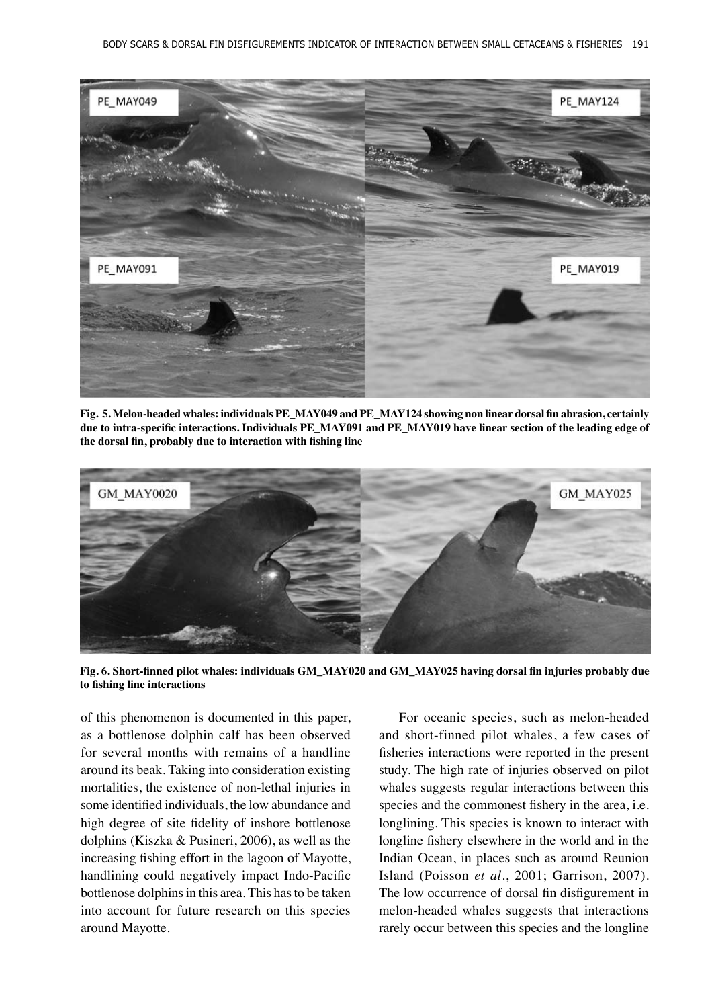

**Fig. 5. Melon-headed whales: individuals PE\_MAY049 and PE\_MAY124 showing non linear dorsal fin abrasion, certainly due to intra-specific interactions. Individuals PE\_MAY091 and PE\_MAY019 have linear section of the leading edge of the dorsal fin, probably due to interaction with fishing line**



**Fig. 6. Short-finned pilot whales: individuals GM\_MAY020 and GM\_MAY025 having dorsal fin injuries probably due to fishing line interactions**

of this phenomenon is documented in this paper, as a bottlenose dolphin calf has been observed for several months with remains of a handline around its beak. Taking into consideration existing mortalities, the existence of non-lethal injuries in some identified individuals, the low abundance and high degree of site fidelity of inshore bottlenose dolphins (Kiszka & Pusineri, 2006), as well as the increasing fishing effort in the lagoon of Mayotte, handlining could negatively impact Indo-Pacific bottlenose dolphins in this area. This has to be taken into account for future research on this species around Mayotte.

For oceanic species, such as melon-headed and short-finned pilot whales, a few cases of fisheries interactions were reported in the present study. The high rate of injuries observed on pilot whales suggests regular interactions between this species and the commonest fishery in the area, i.e. longlining. This species is known to interact with longline fishery elsewhere in the world and in the Indian Ocean, in places such as around Reunion Island (Poisson *et al.*, 2001; Garrison, 2007). The low occurrence of dorsal fin disfigurement in melon-headed whales suggests that interactions rarely occur between this species and the longline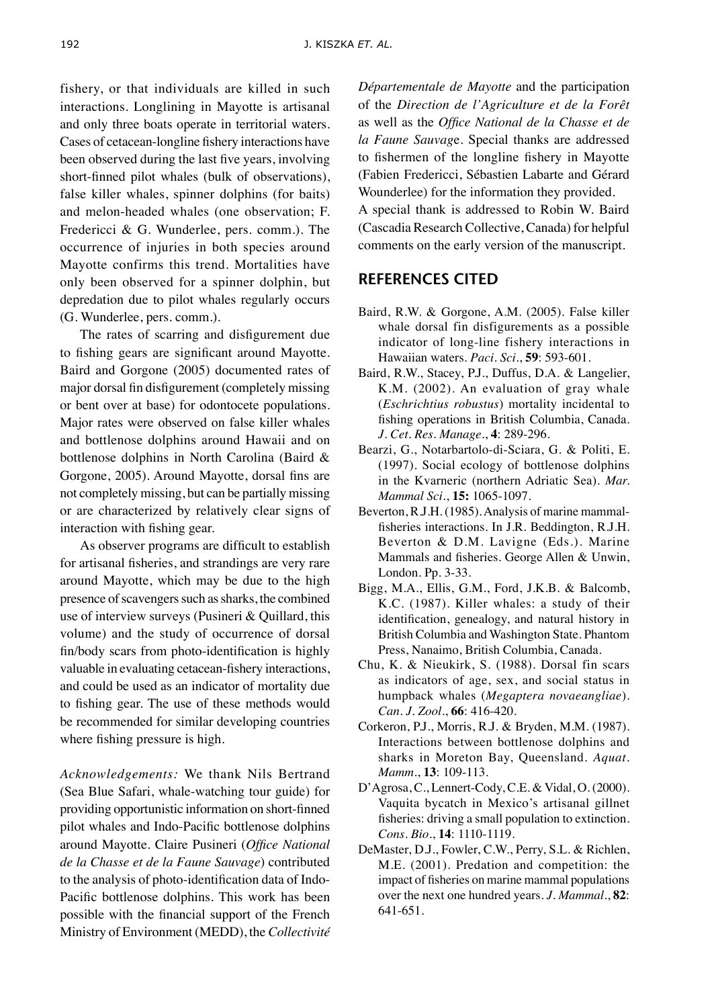fishery, or that individuals are killed in such interactions. Longlining in Mayotte is artisanal and only three boats operate in territorial waters. Cases of cetacean-longline fishery interactions have been observed during the last five years, involving short-finned pilot whales (bulk of observations), false killer whales, spinner dolphins (for baits) and melon-headed whales (one observation; F. Fredericci & G. Wunderlee, pers. comm.). The occurrence of injuries in both species around Mayotte confirms this trend. Mortalities have only been observed for a spinner dolphin, but depredation due to pilot whales regularly occurs (G. Wunderlee, pers. comm.).

The rates of scarring and disfigurement due to fishing gears are significant around Mayotte. Baird and Gorgone (2005) documented rates of major dorsal fin disfigurement (completely missing or bent over at base) for odontocete populations. Major rates were observed on false killer whales and bottlenose dolphins around Hawaii and on bottlenose dolphins in North Carolina (Baird & Gorgone, 2005). Around Mayotte, dorsal fins are not completely missing, but can be partially missing or are characterized by relatively clear signs of interaction with fishing gear.

As observer programs are difficult to establish for artisanal fisheries, and strandings are very rare around Mayotte, which may be due to the high presence of scavengers such as sharks, the combined use of interview surveys (Pusineri & Quillard, this volume) and the study of occurrence of dorsal fin/body scars from photo-identification is highly valuable in evaluating cetacean-fishery interactions, and could be used as an indicator of mortality due to fishing gear. The use of these methods would be recommended for similar developing countries where fishing pressure is high.

*Acknowledgements:* We thank Nils Bertrand (Sea Blue Safari, whale-watching tour guide) for providing opportunistic information on short-finned pilot whales and Indo-Pacific bottlenose dolphins around Mayotte. Claire Pusineri (*Office National de la Chasse et de la Faune Sauvage*) contributed to the analysis of photo-identification data of Indo-Pacific bottlenose dolphins. This work has been possible with the financial support of the French Ministry of Environment (MEDD), the *Collectivité*  *Départementale de Mayotte* and the participation of the *Direction de l'Agriculture et de la Forêt* as well as the *Office National de la Chasse et de la Faune Sauvag*e. Special thanks are addressed to fishermen of the longline fishery in Mayotte (Fabien Fredericci, Sébastien Labarte and Gérard Wounderlee) for the information they provided.

A special thank is addressed to Robin W. Baird (Cascadia Research Collective, Canada) for helpful comments on the early version of the manuscript.

## References cited

- Baird, R.W. & Gorgone, A.M. (2005). False killer whale dorsal fin disfigurements as a possible indicator of long-line fishery interactions in Hawaiian waters. *Paci. Sci.*, **59**: 593-601.
- Baird, R.W., Stacey, P.J., Duffus, D.A. & Langelier, K.M. (2002). An evaluation of gray whale (*Eschrichtius robustus*) mortality incidental to fishing operations in British Columbia, Canada. *J. Cet. Res. Manage.*, **4**: 289-296.
- Bearzi, G., Notarbartolo-di-Sciara, G. & Politi, E. (1997). Social ecology of bottlenose dolphins in the Kvarneric (northern Adriatic Sea). *Mar. Mammal Sci.*, **15:** 1065-1097.
- Beverton, R.J.H. (1985). Analysis of marine mammalfisheries interactions. In J.R. Beddington, R.J.H. Beverton & D.M. Lavigne (Eds.). Marine Mammals and fisheries. George Allen & Unwin, London. Pp. 3-33.
- Bigg, M.A., Ellis, G.M., Ford, J.K.B. & Balcomb, K.C. (1987). Killer whales: a study of their identification, genealogy, and natural history in British Columbia and Washington State. Phantom Press, Nanaimo, British Columbia, Canada.
- Chu, K. & Nieukirk, S. (1988). Dorsal fin scars as indicators of age, sex, and social status in humpback whales (*Megaptera novaeangliae*). *Can. J. Zool.*, **66**: 416-420.
- Corkeron, P.J., Morris, R.J. & Bryden, M.M. (1987). Interactions between bottlenose dolphins and sharks in Moreton Bay, Queensland. *Aquat. Mamm.*, **13**: 109-113.
- D'Agrosa, C., Lennert-Cody, C.E. & Vidal, O. (2000). Vaquita bycatch in Mexico's artisanal gillnet fisheries: driving a small population to extinction. *Cons. Bio.*, **14**: 1110-1119.
- DeMaster, D.J., Fowler, C.W., Perry, S.L. & Richlen, M.E. (2001). Predation and competition: the impact of fisheries on marine mammal populations over the next one hundred years. *J. Mammal.*, **82**: 641-651.